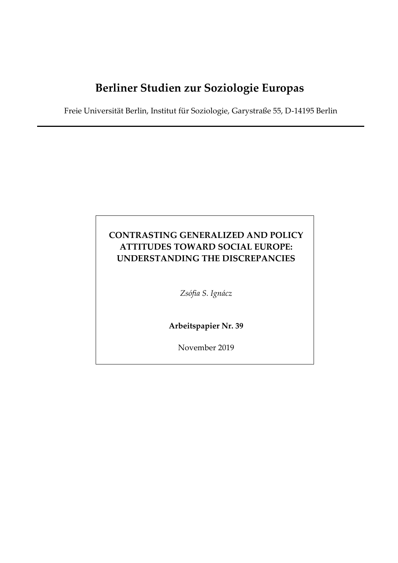# **Berliner Studien zur Soziologie Europas**

Freie Universität Berlin, Institut für Soziologie, Garystraße 55, D-14195 Berlin

# **CONTRASTING GENERALIZED AND POLICY ATTITUDES TOWARD SOCIAL EUROPE: UNDERSTANDING THE DISCREPANCIES**

*Zsófia S. Ignácz*

**Arbeitspapier Nr. 39**

November 2019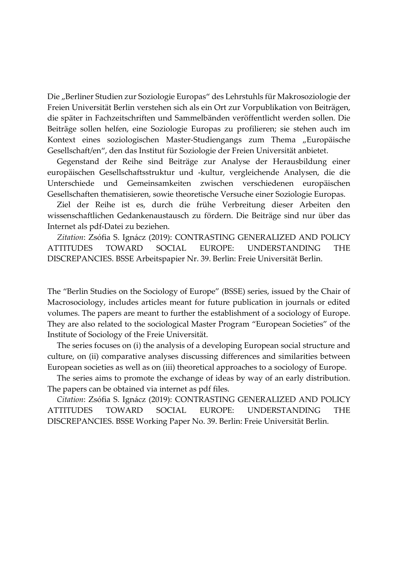Die "Berliner Studien zur Soziologie Europas" des Lehrstuhls für Makrosoziologie der Freien Universität Berlin verstehen sich als ein Ort zur Vorpublikation von Beiträgen, die später in Fachzeitschriften und Sammelbänden veröffentlicht werden sollen. Die Beiträge sollen helfen, eine Soziologie Europas zu profilieren; sie stehen auch im Kontext eines soziologischen Master-Studiengangs zum Thema "Europäische Gesellschaft/en", den das Institut für Soziologie der Freien Universität anbietet.

Gegenstand der Reihe sind Beiträge zur Analyse der Herausbildung einer europäischen Gesellschaftsstruktur und -kultur, vergleichende Analysen, die die Unterschiede und Gemeinsamkeiten zwischen verschiedenen europäischen Gesellschaften thematisieren, sowie theoretische Versuche einer Soziologie Europas.

Ziel der Reihe ist es, durch die frühe Verbreitung dieser Arbeiten den wissenschaftlichen Gedankenaustausch zu fördern. Die Beiträge sind nur über das Internet als pdf-Datei zu beziehen.

*Zitation*: Zsófia S. Ignácz (2019): CONTRASTING GENERALIZED AND POLICY ATTITUDES TOWARD SOCIAL EUROPE: UNDERSTANDING THE DISCREPANCIES. BSSE Arbeitspapier Nr. 39. Berlin: Freie Universität Berlin.

The "Berlin Studies on the Sociology of Europe" (BSSE) series, issued by the Chair of Macrosociology, includes articles meant for future publication in journals or edited volumes. The papers are meant to further the establishment of a sociology of Europe. They are also related to the sociological Master Program "European Societies" of the Institute of Sociology of the Freie Universität.

The series focuses on (i) the analysis of a developing European social structure and culture, on (ii) comparative analyses discussing differences and similarities between European societies as well as on (iii) theoretical approaches to a sociology of Europe.

The series aims to promote the exchange of ideas by way of an early distribution. The papers can be obtained via internet as pdf files.

*Citation*: Zsófia S. Ignácz (2019): CONTRASTING GENERALIZED AND POLICY ATTITUDES TOWARD SOCIAL EUROPE: UNDERSTANDING THE DISCREPANCIES. BSSE Working Paper No. 39. Berlin: Freie Universität Berlin.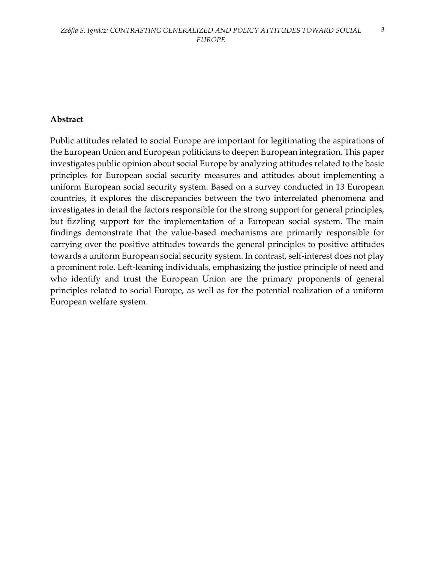#### **Abstract**

Public attitudes related to social Europe are important for legitimating the aspirations of the European Union and European politicians to deepen European integration. This paper investigates public opinion about social Europe by analyzing attitudes related to the basic principles for European social security measures and attitudes about implementing a uniform European social security system. Based on a survey conducted in 13 European countries, it explores the discrepancies between the two interrelated phenomena and investigates in detail the factors responsible for the strong support for general principles, but fizzling support for the implementation of a European social system. The main findings demonstrate that the value-based mechanisms are primarily responsible for carrying over the positive attitudes towards the general principles to positive attitudes towards a uniform European social security system. In contrast, self-interest does not play a prominent role. Left-leaning individuals, emphasizing the justice principle of need and who identify and trust the European Union are the primary proponents of general principles related to social Europe, as well as for the potential realization of a uniform European welfare system.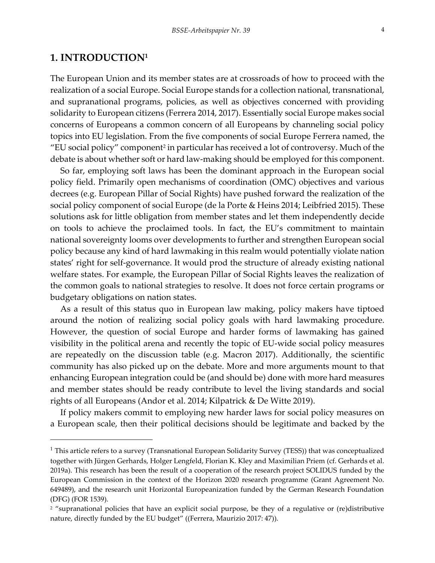#### **1. INTRODUCTION<sup>1</sup>**

 $\overline{a}$ 

The European Union and its member states are at crossroads of how to proceed with the realization of a social Europe. Social Europe stands for a collection national, transnational, and supranational programs, policies, as well as objectives concerned with providing solidarity to European citizens (Ferrera 2014, 2017). Essentially social Europe makes social concerns of Europeans a common concern of all Europeans by channeling social policy topics into EU legislation. From the five components of social Europe Ferrera named, the "EU social policy" component<sup>2</sup> in particular has received a lot of controversy. Much of the debate is about whether soft or hard law-making should be employed for this component.

So far, employing soft laws has been the dominant approach in the European social policy field. Primarily open mechanisms of coordination (OMC) objectives and various decrees (e.g. European Pillar of Social Rights) have pushed forward the realization of the social policy component of social Europe (de la Porte & Heins 2014; Leibfried 2015). These solutions ask for little obligation from member states and let them independently decide on tools to achieve the proclaimed tools. In fact, the EU's commitment to maintain national sovereignty looms over developments to further and strengthen European social policy because any kind of hard lawmaking in this realm would potentially violate nation states' right for self-governance. It would prod the structure of already existing national welfare states. For example, the European Pillar of Social Rights leaves the realization of the common goals to national strategies to resolve. It does not force certain programs or budgetary obligations on nation states.

As a result of this status quo in European law making, policy makers have tiptoed around the notion of realizing social policy goals with hard lawmaking procedure. However, the question of social Europe and harder forms of lawmaking has gained visibility in the political arena and recently the topic of EU-wide social policy measures are repeatedly on the discussion table (e.g. Macron 2017). Additionally, the scientific community has also picked up on the debate. More and more arguments mount to that enhancing European integration could be (and should be) done with more hard measures and member states should be ready contribute to level the living standards and social rights of all Europeans (Andor et al. 2014; Kilpatrick & De Witte 2019).

If policy makers commit to employing new harder laws for social policy measures on a European scale, then their political decisions should be legitimate and backed by the

<sup>&</sup>lt;sup>1</sup> This article refers to a survey (Transnational European Solidarity Survey (TESS)) that was conceptualized together with Jürgen Gerhards, Holger Lengfeld, Florian K. Kley and Maximilian Priem (cf. Gerhards et al. 2019a). This research has been the result of a cooperation of the research project SOLIDUS funded by the European Commission in the context of the Horizon 2020 research programme (Grant Agreement No. 649489), and the research unit Horizontal Europeanization funded by the German Research Foundation (DFG) (FOR 1539).

<sup>&</sup>lt;sup>2</sup> "supranational policies that have an explicit social purpose, be they of a regulative or (re)distributive nature, directly funded by the EU budget" ((Ferrera, Maurizio 2017: 47)).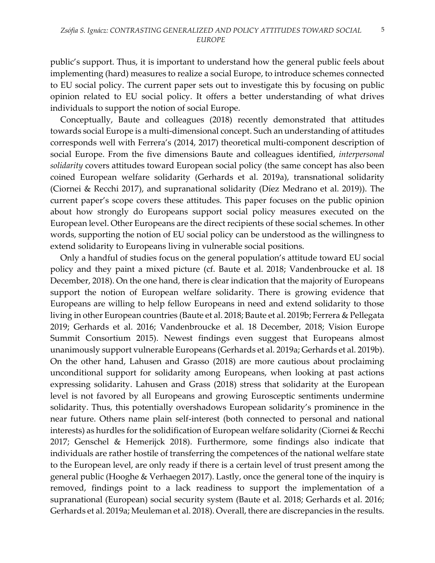public's support. Thus, it is important to understand how the general public feels about implementing (hard) measures to realize a social Europe, to introduce schemes connected to EU social policy. The current paper sets out to investigate this by focusing on public opinion related to EU social policy. It offers a better understanding of what drives individuals to support the notion of social Europe.

Conceptually, Baute and colleagues (2018) recently demonstrated that attitudes towards social Europe is a multi-dimensional concept. Such an understanding of attitudes corresponds well with Ferrera's (2014, 2017) theoretical multi-component description of social Europe. From the five dimensions Baute and colleagues identified, *interpersonal solidarity* covers attitudes toward European social policy (the same concept has also been coined European welfare solidarity (Gerhards et al. 2019a), transnational solidarity (Ciornei & Recchi 2017), and supranational solidarity (Díez Medrano et al. 2019)). The current paper's scope covers these attitudes. This paper focuses on the public opinion about how strongly do Europeans support social policy measures executed on the European level. Other Europeans are the direct recipients of these social schemes. In other words, supporting the notion of EU social policy can be understood as the willingness to extend solidarity to Europeans living in vulnerable social positions.

Only a handful of studies focus on the general population's attitude toward EU social policy and they paint a mixed picture (cf. Baute et al. 2018; Vandenbroucke et al. 18 December, 2018). On the one hand, there is clear indication that the majority of Europeans support the notion of European welfare solidarity. There is growing evidence that Europeans are willing to help fellow Europeans in need and extend solidarity to those living in other European countries (Baute et al. 2018; Baute et al. 2019b; Ferrera & Pellegata 2019; Gerhards et al. 2016; Vandenbroucke et al. 18 December, 2018; Vision Europe Summit Consortium 2015). Newest findings even suggest that Europeans almost unanimously support vulnerable Europeans (Gerhards et al. 2019a; Gerhards et al. 2019b). On the other hand, Lahusen and Grasso (2018) are more cautious about proclaiming unconditional support for solidarity among Europeans, when looking at past actions expressing solidarity. Lahusen and Grass (2018) stress that solidarity at the European level is not favored by all Europeans and growing Eurosceptic sentiments undermine solidarity. Thus, this potentially overshadows European solidarity's prominence in the near future. Others name plain self-interest (both connected to personal and national interests) as hurdles for the solidification of European welfare solidarity (Ciornei & Recchi 2017; Genschel & Hemerijck 2018). Furthermore, some findings also indicate that individuals are rather hostile of transferring the competences of the national welfare state to the European level, are only ready if there is a certain level of trust present among the general public (Hooghe & Verhaegen 2017). Lastly, once the general tone of the inquiry is removed, findings point to a lack readiness to support the implementation of a supranational (European) social security system (Baute et al. 2018; Gerhards et al. 2016; Gerhards et al. 2019a; Meuleman et al. 2018). Overall, there are discrepancies in the results.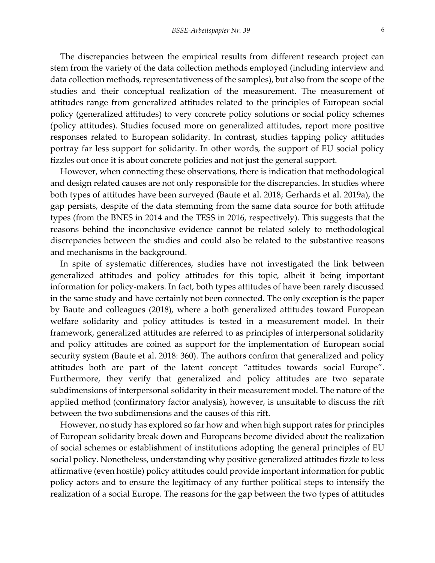The discrepancies between the empirical results from different research project can stem from the variety of the data collection methods employed (including interview and data collection methods, representativeness of the samples), but also from the scope of the studies and their conceptual realization of the measurement. The measurement of attitudes range from generalized attitudes related to the principles of European social policy (generalized attitudes) to very concrete policy solutions or social policy schemes (policy attitudes). Studies focused more on generalized attitudes, report more positive responses related to European solidarity. In contrast, studies tapping policy attitudes portray far less support for solidarity. In other words, the support of EU social policy fizzles out once it is about concrete policies and not just the general support.

However, when connecting these observations, there is indication that methodological and design related causes are not only responsible for the discrepancies. In studies where both types of attitudes have been surveyed (Baute et al. 2018; Gerhards et al. 2019a), the gap persists, despite of the data stemming from the same data source for both attitude types (from the BNES in 2014 and the TESS in 2016, respectively). This suggests that the reasons behind the inconclusive evidence cannot be related solely to methodological discrepancies between the studies and could also be related to the substantive reasons and mechanisms in the background.

In spite of systematic differences, studies have not investigated the link between generalized attitudes and policy attitudes for this topic, albeit it being important information for policy-makers. In fact, both types attitudes of have been rarely discussed in the same study and have certainly not been connected. The only exception is the paper by Baute and colleagues (2018), where a both generalized attitudes toward European welfare solidarity and policy attitudes is tested in a measurement model. In their framework, generalized attitudes are referred to as principles of interpersonal solidarity and policy attitudes are coined as support for the implementation of European social security system (Baute et al. 2018: 360). The authors confirm that generalized and policy attitudes both are part of the latent concept "attitudes towards social Europe". Furthermore, they verify that generalized and policy attitudes are two separate subdimensions of interpersonal solidarity in their measurement model. The nature of the applied method (confirmatory factor analysis), however, is unsuitable to discuss the rift between the two subdimensions and the causes of this rift.

However, no study has explored so far how and when high support rates for principles of European solidarity break down and Europeans become divided about the realization of social schemes or establishment of institutions adopting the general principles of EU social policy. Nonetheless, understanding why positive generalized attitudes fizzle to less affirmative (even hostile) policy attitudes could provide important information for public policy actors and to ensure the legitimacy of any further political steps to intensify the realization of a social Europe. The reasons for the gap between the two types of attitudes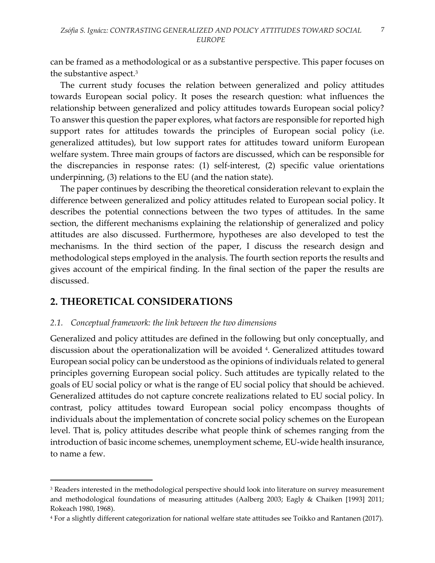can be framed as a methodological or as a substantive perspective. This paper focuses on the substantive aspect. $3$ 

The current study focuses the relation between generalized and policy attitudes towards European social policy. It poses the research question: what influences the relationship between generalized and policy attitudes towards European social policy? To answer this question the paper explores, what factors are responsible for reported high support rates for attitudes towards the principles of European social policy (i.e. generalized attitudes), but low support rates for attitudes toward uniform European welfare system. Three main groups of factors are discussed, which can be responsible for the discrepancies in response rates: (1) self-interest, (2) specific value orientations underpinning, (3) relations to the EU (and the nation state).

The paper continues by describing the theoretical consideration relevant to explain the difference between generalized and policy attitudes related to European social policy. It describes the potential connections between the two types of attitudes. In the same section, the different mechanisms explaining the relationship of generalized and policy attitudes are also discussed. Furthermore, hypotheses are also developed to test the mechanisms. In the third section of the paper, I discuss the research design and methodological steps employed in the analysis. The fourth section reports the results and gives account of the empirical finding. In the final section of the paper the results are discussed.

# **2. THEORETICAL CONSIDERATIONS**

 $\overline{a}$ 

#### *2.1. Conceptual framework: the link between the two dimensions*

Generalized and policy attitudes are defined in the following but only conceptually, and discussion about the operationalization will be avoided <sup>4</sup>. Generalized attitudes toward European social policy can be understood as the opinions of individuals related to general principles governing European social policy. Such attitudes are typically related to the goals of EU social policy or what is the range of EU social policy that should be achieved. Generalized attitudes do not capture concrete realizations related to EU social policy. In contrast, policy attitudes toward European social policy encompass thoughts of individuals about the implementation of concrete social policy schemes on the European level. That is, policy attitudes describe what people think of schemes ranging from the introduction of basic income schemes, unemployment scheme, EU-wide health insurance, to name a few.

7

<sup>&</sup>lt;sup>3</sup> Readers interested in the methodological perspective should look into literature on survey measurement and methodological foundations of measuring attitudes (Aalberg 2003; Eagly & Chaiken [1993] 2011; Rokeach 1980, 1968).

<sup>4</sup> For a slightly different categorization for national welfare state attitudes see Toikko and Rantanen (2017).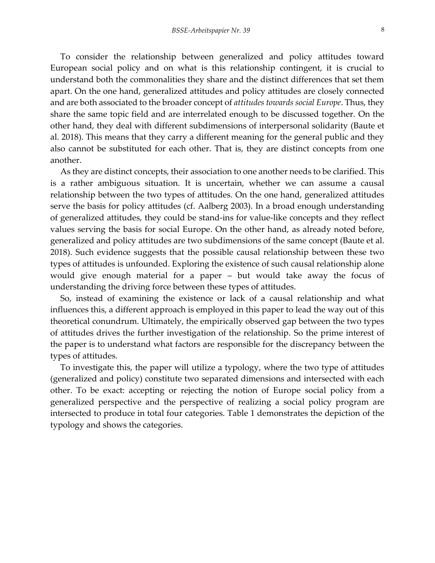To consider the relationship between generalized and policy attitudes toward European social policy and on what is this relationship contingent, it is crucial to understand both the commonalities they share and the distinct differences that set them apart. On the one hand, generalized attitudes and policy attitudes are closely connected and are both associated to the broader concept of *attitudes towards social Europe*. Thus, they share the same topic field and are interrelated enough to be discussed together. On the other hand, they deal with different subdimensions of interpersonal solidarity (Baute et al. 2018). This means that they carry a different meaning for the general public and they also cannot be substituted for each other. That is, they are distinct concepts from one another.

As they are distinct concepts, their association to one another needs to be clarified. This is a rather ambiguous situation. It is uncertain, whether we can assume a causal relationship between the two types of attitudes. On the one hand, generalized attitudes serve the basis for policy attitudes (cf. Aalberg 2003). In a broad enough understanding of generalized attitudes, they could be stand-ins for value-like concepts and they reflect values serving the basis for social Europe. On the other hand, as already noted before, generalized and policy attitudes are two subdimensions of the same concept (Baute et al. 2018). Such evidence suggests that the possible causal relationship between these two types of attitudes is unfounded. Exploring the existence of such causal relationship alone would give enough material for a paper – but would take away the focus of understanding the driving force between these types of attitudes.

So, instead of examining the existence or lack of a causal relationship and what influences this, a different approach is employed in this paper to lead the way out of this theoretical conundrum. Ultimately, the empirically observed gap between the two types of attitudes drives the further investigation of the relationship. So the prime interest of the paper is to understand what factors are responsible for the discrepancy between the types of attitudes.

To investigate this, the paper will utilize a typology, where the two type of attitudes (generalized and policy) constitute two separated dimensions and intersected with each other. To be exact: accepting or rejecting the notion of Europe social policy from a generalized perspective and the perspective of realizing a social policy program are intersected to produce in total four categories. Table 1 demonstrates the depiction of the typology and shows the categories.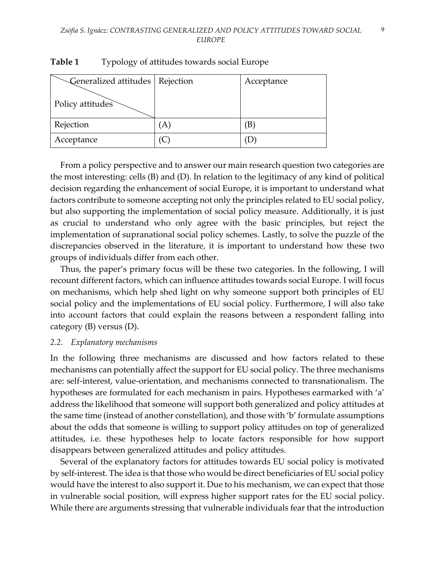| Generalized attitudes   Rejection |   | Acceptance |
|-----------------------------------|---|------------|
| Policy attitudes                  |   |            |
| Rejection                         | A |            |
| Acceptance                        |   |            |

#### **Table 1** Typology of attitudes towards social Europe

From a policy perspective and to answer our main research question two categories are the most interesting: cells (B) and (D). In relation to the legitimacy of any kind of political decision regarding the enhancement of social Europe, it is important to understand what factors contribute to someone accepting not only the principles related to EU social policy, but also supporting the implementation of social policy measure. Additionally, it is just as crucial to understand who only agree with the basic principles, but reject the implementation of supranational social policy schemes. Lastly, to solve the puzzle of the discrepancies observed in the literature, it is important to understand how these two groups of individuals differ from each other.

Thus, the paper's primary focus will be these two categories. In the following, I will recount different factors, which can influence attitudes towards social Europe. I will focus on mechanisms, which help shed light on why someone support both principles of EU social policy and the implementations of EU social policy. Furthermore, I will also take into account factors that could explain the reasons between a respondent falling into category (B) versus (D).

#### *2.2. Explanatory mechanisms*

In the following three mechanisms are discussed and how factors related to these mechanisms can potentially affect the support for EU social policy. The three mechanisms are: self-interest, value-orientation, and mechanisms connected to transnationalism. The hypotheses are formulated for each mechanism in pairs. Hypotheses earmarked with 'a' address the likelihood that someone will support both generalized and policy attitudes at the same time (instead of another constellation), and those with 'b' formulate assumptions about the odds that someone is willing to support policy attitudes on top of generalized attitudes, i.e. these hypotheses help to locate factors responsible for how support disappears between generalized attitudes and policy attitudes.

Several of the explanatory factors for attitudes towards EU social policy is motivated by self-interest. The idea is that those who would be direct beneficiaries of EU social policy would have the interest to also support it. Due to his mechanism, we can expect that those in vulnerable social position, will express higher support rates for the EU social policy. While there are arguments stressing that vulnerable individuals fear that the introduction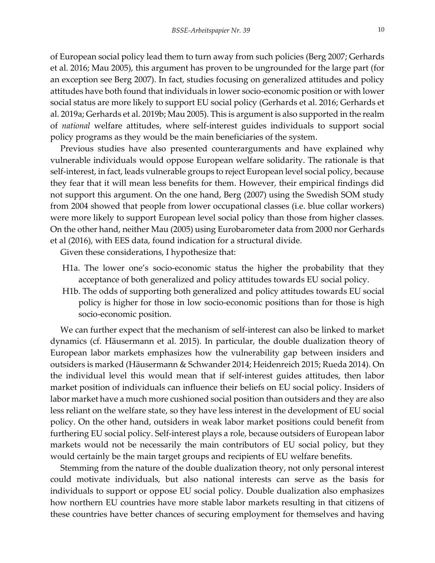of European social policy lead them to turn away from such policies (Berg 2007; Gerhards et al. 2016; Mau 2005), this argument has proven to be ungrounded for the large part (for an exception see Berg 2007). In fact, studies focusing on generalized attitudes and policy attitudes have both found that individuals in lower socio-economic position or with lower social status are more likely to support EU social policy (Gerhards et al. 2016; Gerhards et al. 2019a; Gerhards et al. 2019b; Mau 2005). This is argument is also supported in the realm of *national* welfare attitudes, where self-interest guides individuals to support social policy programs as they would be the main beneficiaries of the system.

Previous studies have also presented counterarguments and have explained why vulnerable individuals would oppose European welfare solidarity. The rationale is that self-interest, in fact, leads vulnerable groups to reject European level social policy, because they fear that it will mean less benefits for them. However, their empirical findings did not support this argument. On the one hand, Berg (2007) using the Swedish SOM study from 2004 showed that people from lower occupational classes (i.e. blue collar workers) were more likely to support European level social policy than those from higher classes. On the other hand, neither Mau (2005) using Eurobarometer data from 2000 nor Gerhards et al (2016), with EES data, found indication for a structural divide.

Given these considerations, I hypothesize that:

- H1a. The lower one's socio-economic status the higher the probability that they acceptance of both generalized and policy attitudes towards EU social policy.
- H1b. The odds of supporting both generalized and policy attitudes towards EU social policy is higher for those in low socio-economic positions than for those is high socio-economic position.

We can further expect that the mechanism of self-interest can also be linked to market dynamics (cf. Häusermann et al. 2015). In particular, the double dualization theory of European labor markets emphasizes how the vulnerability gap between insiders and outsiders is marked (Häusermann & Schwander 2014; Heidenreich 2015; Rueda 2014). On the individual level this would mean that if self-interest guides attitudes, then labor market position of individuals can influence their beliefs on EU social policy. Insiders of labor market have a much more cushioned social position than outsiders and they are also less reliant on the welfare state, so they have less interest in the development of EU social policy. On the other hand, outsiders in weak labor market positions could benefit from furthering EU social policy. Self-interest plays a role, because outsiders of European labor markets would not be necessarily the main contributors of EU social policy, but they would certainly be the main target groups and recipients of EU welfare benefits.

Stemming from the nature of the double dualization theory, not only personal interest could motivate individuals, but also national interests can serve as the basis for individuals to support or oppose EU social policy. Double dualization also emphasizes how northern EU countries have more stable labor markets resulting in that citizens of these countries have better chances of securing employment for themselves and having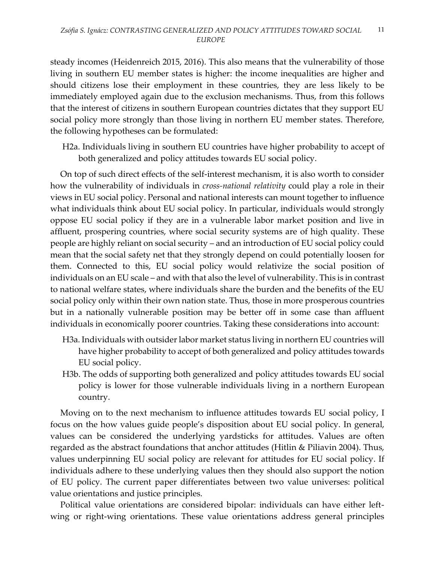steady incomes (Heidenreich 2015, 2016). This also means that the vulnerability of those living in southern EU member states is higher: the income inequalities are higher and should citizens lose their employment in these countries, they are less likely to be immediately employed again due to the exclusion mechanisms. Thus, from this follows that the interest of citizens in southern European countries dictates that they support EU social policy more strongly than those living in northern EU member states. Therefore, the following hypotheses can be formulated:

H2a. Individuals living in southern EU countries have higher probability to accept of both generalized and policy attitudes towards EU social policy.

On top of such direct effects of the self-interest mechanism, it is also worth to consider how the vulnerability of individuals in *cross-national relativity* could play a role in their views in EU social policy. Personal and national interests can mount together to influence what individuals think about EU social policy. In particular, individuals would strongly oppose EU social policy if they are in a vulnerable labor market position and live in affluent, prospering countries, where social security systems are of high quality. These people are highly reliant on social security – and an introduction of EU social policy could mean that the social safety net that they strongly depend on could potentially loosen for them. Connected to this, EU social policy would relativize the social position of individuals on an EU scale – and with that also the level of vulnerability. This is in contrast to national welfare states, where individuals share the burden and the benefits of the EU social policy only within their own nation state. Thus, those in more prosperous countries but in a nationally vulnerable position may be better off in some case than affluent individuals in economically poorer countries. Taking these considerations into account:

- H3a. Individuals with outsider labor market status living in northern EU countries will have higher probability to accept of both generalized and policy attitudes towards EU social policy.
- H3b. The odds of supporting both generalized and policy attitudes towards EU social policy is lower for those vulnerable individuals living in a northern European country.

Moving on to the next mechanism to influence attitudes towards EU social policy, I focus on the how values guide people's disposition about EU social policy. In general, values can be considered the underlying yardsticks for attitudes. Values are often regarded as the abstract foundations that anchor attitudes (Hitlin & Piliavin 2004). Thus, values underpinning EU social policy are relevant for attitudes for EU social policy. If individuals adhere to these underlying values then they should also support the notion of EU policy. The current paper differentiates between two value universes: political value orientations and justice principles.

Political value orientations are considered bipolar: individuals can have either leftwing or right-wing orientations. These value orientations address general principles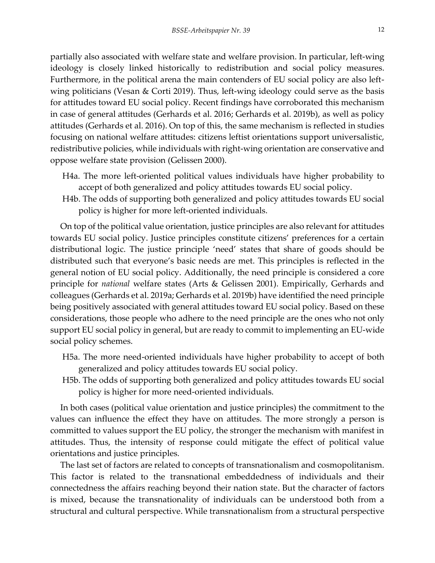partially also associated with welfare state and welfare provision. In particular, left-wing ideology is closely linked historically to redistribution and social policy measures. Furthermore, in the political arena the main contenders of EU social policy are also leftwing politicians (Vesan & Corti 2019). Thus, left-wing ideology could serve as the basis for attitudes toward EU social policy. Recent findings have corroborated this mechanism in case of general attitudes (Gerhards et al. 2016; Gerhards et al. 2019b), as well as policy attitudes (Gerhards et al. 2016). On top of this, the same mechanism is reflected in studies focusing on national welfare attitudes: citizens leftist orientations support universalistic, redistributive policies, while individuals with right-wing orientation are conservative and oppose welfare state provision (Gelissen 2000).

- H4a. The more left-oriented political values individuals have higher probability to accept of both generalized and policy attitudes towards EU social policy.
- H4b. The odds of supporting both generalized and policy attitudes towards EU social policy is higher for more left-oriented individuals.

On top of the political value orientation, justice principles are also relevant for attitudes towards EU social policy. Justice principles constitute citizens' preferences for a certain distributional logic. The justice principle 'need' states that share of goods should be distributed such that everyone's basic needs are met. This principles is reflected in the general notion of EU social policy. Additionally, the need principle is considered a core principle for *national* welfare states (Arts & Gelissen 2001). Empirically, Gerhards and colleagues (Gerhards et al. 2019a; Gerhards et al. 2019b) have identified the need principle being positively associated with general attitudes toward EU social policy. Based on these considerations, those people who adhere to the need principle are the ones who not only support EU social policy in general, but are ready to commit to implementing an EU-wide social policy schemes.

- H5a. The more need-oriented individuals have higher probability to accept of both generalized and policy attitudes towards EU social policy.
- H5b. The odds of supporting both generalized and policy attitudes towards EU social policy is higher for more need-oriented individuals.

In both cases (political value orientation and justice principles) the commitment to the values can influence the effect they have on attitudes. The more strongly a person is committed to values support the EU policy, the stronger the mechanism with manifest in attitudes. Thus, the intensity of response could mitigate the effect of political value orientations and justice principles.

The last set of factors are related to concepts of transnationalism and cosmopolitanism. This factor is related to the transnational embeddedness of individuals and their connectedness the affairs reaching beyond their nation state. But the character of factors is mixed, because the transnationality of individuals can be understood both from a structural and cultural perspective. While transnationalism from a structural perspective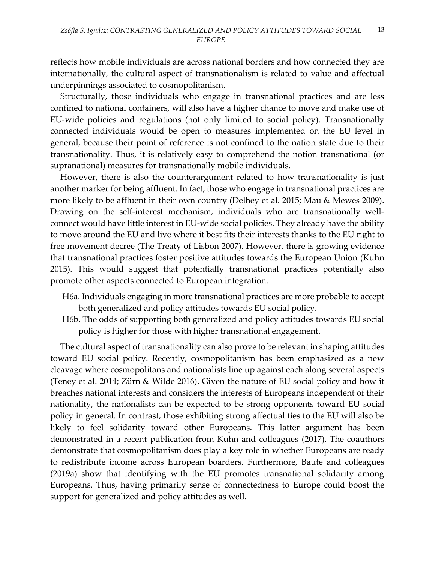reflects how mobile individuals are across national borders and how connected they are internationally, the cultural aspect of transnationalism is related to value and affectual underpinnings associated to cosmopolitanism.

Structurally, those individuals who engage in transnational practices and are less confined to national containers, will also have a higher chance to move and make use of EU-wide policies and regulations (not only limited to social policy). Transnationally connected individuals would be open to measures implemented on the EU level in general, because their point of reference is not confined to the nation state due to their transnationality. Thus, it is relatively easy to comprehend the notion transnational (or supranational) measures for transnationally mobile individuals.

However, there is also the counterargument related to how transnationality is just another marker for being affluent. In fact, those who engage in transnational practices are more likely to be affluent in their own country (Delhey et al. 2015; Mau & Mewes 2009). Drawing on the self-interest mechanism, individuals who are transnationally wellconnect would have little interest in EU-wide social policies. They already have the ability to move around the EU and live where it best fits their interests thanks to the EU right to free movement decree (The Treaty of Lisbon 2007). However, there is growing evidence that transnational practices foster positive attitudes towards the European Union (Kuhn 2015). This would suggest that potentially transnational practices potentially also promote other aspects connected to European integration.

- H6a. Individuals engaging in more transnational practices are more probable to accept both generalized and policy attitudes towards EU social policy.
- H6b. The odds of supporting both generalized and policy attitudes towards EU social policy is higher for those with higher transnational engagement.

The cultural aspect of transnationality can also prove to be relevant in shaping attitudes toward EU social policy. Recently, cosmopolitanism has been emphasized as a new cleavage where cosmopolitans and nationalists line up against each along several aspects (Teney et al. 2014; Zürn & Wilde 2016). Given the nature of EU social policy and how it breaches national interests and considers the interests of Europeans independent of their nationality, the nationalists can be expected to be strong opponents toward EU social policy in general. In contrast, those exhibiting strong affectual ties to the EU will also be likely to feel solidarity toward other Europeans. This latter argument has been demonstrated in a recent publication from Kuhn and colleagues (2017). The coauthors demonstrate that cosmopolitanism does play a key role in whether Europeans are ready to redistribute income across European boarders. Furthermore, Baute and colleagues (2019a) show that identifying with the EU promotes transnational solidarity among Europeans. Thus, having primarily sense of connectedness to Europe could boost the support for generalized and policy attitudes as well.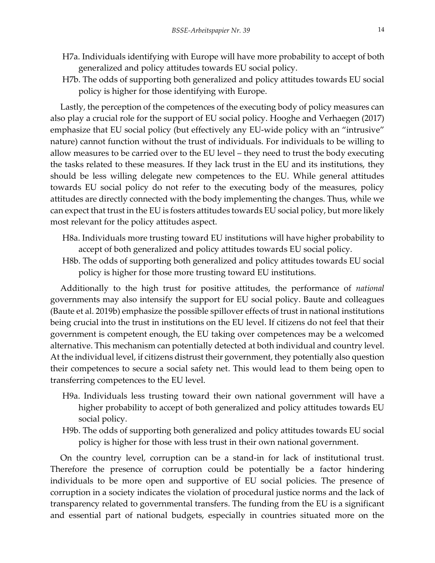- H7a. Individuals identifying with Europe will have more probability to accept of both generalized and policy attitudes towards EU social policy.
- H7b. The odds of supporting both generalized and policy attitudes towards EU social policy is higher for those identifying with Europe.

Lastly, the perception of the competences of the executing body of policy measures can also play a crucial role for the support of EU social policy. Hooghe and Verhaegen (2017) emphasize that EU social policy (but effectively any EU-wide policy with an "intrusive" nature) cannot function without the trust of individuals. For individuals to be willing to allow measures to be carried over to the EU level – they need to trust the body executing the tasks related to these measures. If they lack trust in the EU and its institutions, they should be less willing delegate new competences to the EU. While general attitudes towards EU social policy do not refer to the executing body of the measures, policy attitudes are directly connected with the body implementing the changes. Thus, while we can expect that trust in the EU is fosters attitudes towards EU social policy, but more likely most relevant for the policy attitudes aspect.

- H8a. Individuals more trusting toward EU institutions will have higher probability to accept of both generalized and policy attitudes towards EU social policy.
- H8b. The odds of supporting both generalized and policy attitudes towards EU social policy is higher for those more trusting toward EU institutions.

Additionally to the high trust for positive attitudes, the performance of *national* governments may also intensify the support for EU social policy. Baute and colleagues (Baute et al. 2019b) emphasize the possible spillover effects of trust in national institutions being crucial into the trust in institutions on the EU level. If citizens do not feel that their government is competent enough, the EU taking over competences may be a welcomed alternative. This mechanism can potentially detected at both individual and country level. At the individual level, if citizens distrust their government, they potentially also question their competences to secure a social safety net. This would lead to them being open to transferring competences to the EU level.

- H9a. Individuals less trusting toward their own national government will have a higher probability to accept of both generalized and policy attitudes towards EU social policy.
- H9b. The odds of supporting both generalized and policy attitudes towards EU social policy is higher for those with less trust in their own national government.

On the country level, corruption can be a stand-in for lack of institutional trust. Therefore the presence of corruption could be potentially be a factor hindering individuals to be more open and supportive of EU social policies. The presence of corruption in a society indicates the violation of procedural justice norms and the lack of transparency related to governmental transfers. The funding from the EU is a significant and essential part of national budgets, especially in countries situated more on the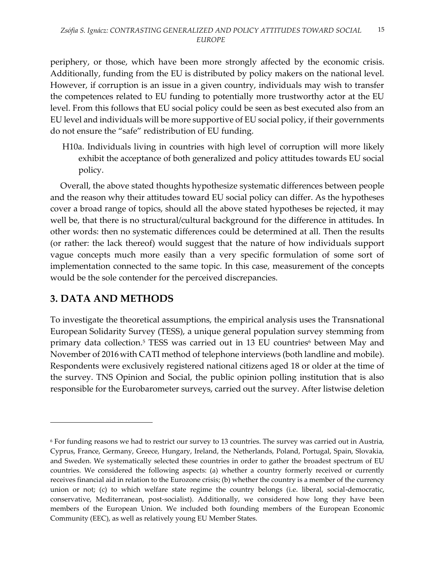periphery, or those, which have been more strongly affected by the economic crisis. Additionally, funding from the EU is distributed by policy makers on the national level. However, if corruption is an issue in a given country, individuals may wish to transfer the competences related to EU funding to potentially more trustworthy actor at the EU level. From this follows that EU social policy could be seen as best executed also from an EU level and individuals will be more supportive of EU social policy, if their governments do not ensure the "safe" redistribution of EU funding.

H10a. Individuals living in countries with high level of corruption will more likely exhibit the acceptance of both generalized and policy attitudes towards EU social policy.

Overall, the above stated thoughts hypothesize systematic differences between people and the reason why their attitudes toward EU social policy can differ. As the hypotheses cover a broad range of topics, should all the above stated hypotheses be rejected, it may well be, that there is no structural/cultural background for the difference in attitudes. In other words: then no systematic differences could be determined at all. Then the results (or rather: the lack thereof) would suggest that the nature of how individuals support vague concepts much more easily than a very specific formulation of some sort of implementation connected to the same topic. In this case, measurement of the concepts would be the sole contender for the perceived discrepancies.

# **3. DATA AND METHODS**

 $\overline{a}$ 

To investigate the theoretical assumptions, the empirical analysis uses the Transnational European Solidarity Survey (TESS), a unique general population survey stemming from primary data collection.<sup>5</sup> TESS was carried out in 13 EU countries<sup>6</sup> between May and November of 2016with CATI method of telephone interviews (both landline and mobile). Respondents were exclusively registered national citizens aged 18 or older at the time of the survey. TNS Opinion and Social, the public opinion polling institution that is also responsible for the Eurobarometer surveys, carried out the survey. After listwise deletion

<sup>6</sup> For funding reasons we had to restrict our survey to 13 countries. The survey was carried out in Austria, Cyprus, France, Germany, Greece, Hungary, Ireland, the Netherlands, Poland, Portugal, Spain, Slovakia, and Sweden. We systematically selected these countries in order to gather the broadest spectrum of EU countries. We considered the following aspects: (a) whether a country formerly received or currently receives financial aid in relation to the Eurozone crisis; (b) whether the country is a member of the currency union or not; (c) to which welfare state regime the country belongs (i.e. liberal, social-democratic, conservative, Mediterranean, post-socialist). Additionally, we considered how long they have been members of the European Union. We included both founding members of the European Economic Community (EEC), as well as relatively young EU Member States.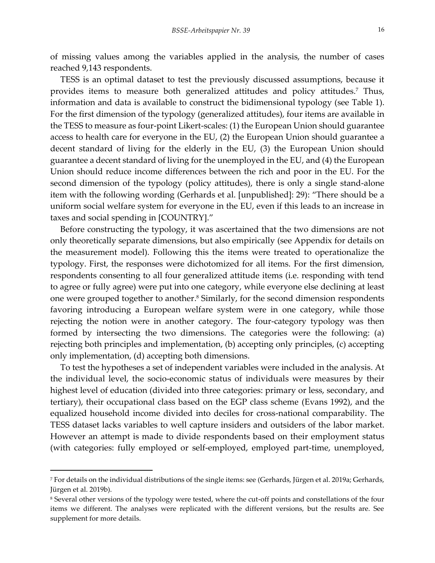of missing values among the variables applied in the analysis, the number of cases reached 9,143 respondents.

TESS is an optimal dataset to test the previously discussed assumptions, because it provides items to measure both generalized attitudes and policy attitudes. <sup>7</sup> Thus, information and data is available to construct the bidimensional typology (see Table 1). For the first dimension of the typology (generalized attitudes), four items are available in the TESS to measure as four-point Likert-scales: (1) the European Union should guarantee access to health care for everyone in the EU, (2) the European Union should guarantee a decent standard of living for the elderly in the EU, (3) the European Union should guarantee a decent standard of living for the unemployed in the EU, and (4) the European Union should reduce income differences between the rich and poor in the EU. For the second dimension of the typology (policy attitudes), there is only a single stand-alone item with the following wording (Gerhards et al. [unpublished]: 29): "There should be a uniform social welfare system for everyone in the EU, even if this leads to an increase in taxes and social spending in [COUNTRY]."

Before constructing the typology, it was ascertained that the two dimensions are not only theoretically separate dimensions, but also empirically (see Appendix for details on the measurement model). Following this the items were treated to operationalize the typology. First, the responses were dichotomized for all items. For the first dimension, respondents consenting to all four generalized attitude items (i.e. responding with tend to agree or fully agree) were put into one category, while everyone else declining at least one were grouped together to another. <sup>8</sup> Similarly, for the second dimension respondents favoring introducing a European welfare system were in one category, while those rejecting the notion were in another category. The four-category typology was then formed by intersecting the two dimensions. The categories were the following: (a) rejecting both principles and implementation, (b) accepting only principles, (c) accepting only implementation, (d) accepting both dimensions.

To test the hypotheses a set of independent variables were included in the analysis. At the individual level, the socio-economic status of individuals were measures by their highest level of education (divided into three categories: primary or less, secondary, and tertiary), their occupational class based on the EGP class scheme (Evans 1992), and the equalized household income divided into deciles for cross-national comparability. The TESS dataset lacks variables to well capture insiders and outsiders of the labor market. However an attempt is made to divide respondents based on their employment status (with categories: fully employed or self-employed, employed part-time, unemployed,

 $\overline{a}$ 

<sup>7</sup> For details on the individual distributions of the single items: see (Gerhards, Jürgen et al. 2019a; Gerhards, Jürgen et al. 2019b).

<sup>8</sup> Several other versions of the typology were tested, where the cut-off points and constellations of the four items we different. The analyses were replicated with the different versions, but the results are. See supplement for more details.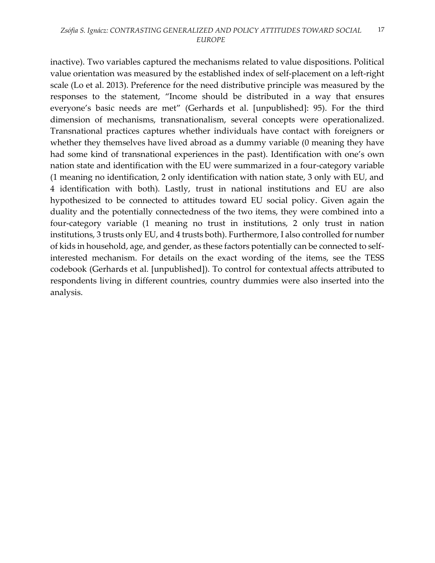#### *Zsófia S. Ignácz: CONTRASTING GENERALIZED AND POLICY ATTITUDES TOWARD SOCIAL EUROPE* 17

inactive). Two variables captured the mechanisms related to value dispositions. Political value orientation was measured by the established index of self-placement on a left-right scale (Lo et al. 2013). Preference for the need distributive principle was measured by the responses to the statement, "Income should be distributed in a way that ensures everyone's basic needs are met" (Gerhards et al. [unpublished]: 95). For the third dimension of mechanisms, transnationalism, several concepts were operationalized. Transnational practices captures whether individuals have contact with foreigners or whether they themselves have lived abroad as a dummy variable (0 meaning they have had some kind of transnational experiences in the past). Identification with one's own nation state and identification with the EU were summarized in a four-category variable (1 meaning no identification, 2 only identification with nation state, 3 only with EU, and 4 identification with both). Lastly, trust in national institutions and EU are also hypothesized to be connected to attitudes toward EU social policy. Given again the duality and the potentially connectedness of the two items, they were combined into a four-category variable (1 meaning no trust in institutions, 2 only trust in nation institutions, 3 trusts only EU, and 4 trusts both). Furthermore, I also controlled for number of kids in household, age, and gender, as these factors potentially can be connected to selfinterested mechanism. For details on the exact wording of the items, see the TESS codebook (Gerhards et al. [unpublished]). To control for contextual affects attributed to respondents living in different countries, country dummies were also inserted into the analysis.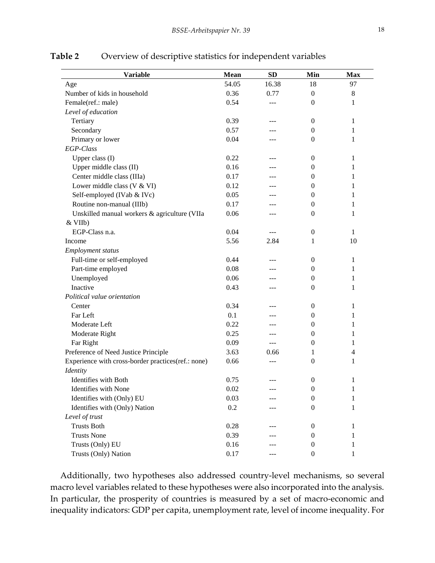| <b>Variable</b>                                    | <b>Mean</b> | <b>SD</b> | Min              | <b>Max</b>     |
|----------------------------------------------------|-------------|-----------|------------------|----------------|
| Age                                                | 54.05       | 16.38     | 18               | 97             |
| Number of kids in household                        | 0.36        | 0.77      | $\boldsymbol{0}$ | $\,8\,$        |
| Female(ref.: male)                                 | 0.54        |           | $\boldsymbol{0}$ | 1              |
| Level of education                                 |             |           |                  |                |
| Tertiary                                           | 0.39        |           | $\boldsymbol{0}$ | 1              |
| Secondary                                          | 0.57        |           | $\boldsymbol{0}$ | 1              |
| Primary or lower                                   | 0.04        |           | $\mathbf{0}$     | 1              |
| EGP-Class                                          |             |           |                  |                |
| Upper class (I)                                    | 0.22        |           | $\boldsymbol{0}$ | 1              |
| Upper middle class (II)                            | 0.16        |           | $\theta$         | $\mathbf 1$    |
| Center middle class (IIIa)                         | 0.17        |           | $\theta$         | 1              |
| Lower middle class (V & VI)                        | 0.12        |           | $\theta$         | 1              |
| Self-employed (IVab & IVc)                         | 0.05        | ---       | $\theta$         | 1              |
| Routine non-manual (IIIb)                          | 0.17        | ---       | $\boldsymbol{0}$ | 1              |
| Unskilled manual workers & agriculture (VIIa       | 0.06        | ---       | $\boldsymbol{0}$ | 1              |
| & VIIb)                                            |             |           |                  |                |
| EGP-Class n.a.                                     | 0.04        |           | $\boldsymbol{0}$ | 1              |
| Income                                             | 5.56        | 2.84      | 1                | 10             |
| <b>Employment status</b>                           |             |           |                  |                |
| Full-time or self-employed                         | 0.44        |           | $\boldsymbol{0}$ | 1              |
| Part-time employed                                 | 0.08        |           | $\theta$         | 1              |
| Unemployed                                         | 0.06        |           | $\theta$         | 1              |
| Inactive                                           | 0.43        |           | $\theta$         | 1              |
| Political value orientation                        |             |           |                  |                |
| Center                                             | 0.34        |           | $\boldsymbol{0}$ | 1              |
| Far Left                                           | 0.1         | ---       | $\boldsymbol{0}$ | 1              |
| Moderate Left                                      | 0.22        |           | $\boldsymbol{0}$ | 1              |
| Moderate Right                                     | 0.25        | ---       | $\theta$         | 1              |
| Far Right                                          | 0.09        | ---       | $\theta$         | 1              |
| Preference of Need Justice Principle               | 3.63        | 0.66      | 1                | $\overline{4}$ |
| Experience with cross-border practices(ref.: none) | 0.66        | ---       | $\boldsymbol{0}$ | 1              |
| <b>Identity</b>                                    |             |           |                  |                |
| Identifies with Both                               | 0.75        |           | $\boldsymbol{0}$ | 1              |
| Identifies with None                               | 0.02        |           | $\theta$         | 1              |
| Identifies with (Only) EU                          | 0.03        |           | $\boldsymbol{0}$ | 1              |
| Identifies with (Only) Nation                      | 0.2         |           | $\mathbf{0}$     | 1              |
| Level of trust                                     |             |           |                  |                |
| <b>Trusts Both</b>                                 | 0.28        |           | $\boldsymbol{0}$ | 1              |
| <b>Trusts None</b>                                 | 0.39        |           | $\boldsymbol{0}$ | 1              |
| Trusts (Only) EU                                   | 0.16        |           | $\boldsymbol{0}$ | 1              |
| Trusts (Only) Nation                               | 0.17        |           | $\boldsymbol{0}$ | 1              |

#### **Table 2** Overview of descriptive statistics for independent variables

Additionally, two hypotheses also addressed country-level mechanisms, so several macro level variables related to these hypotheses were also incorporated into the analysis. In particular, the prosperity of countries is measured by a set of macro-economic and inequality indicators: GDP per capita, unemployment rate, level of income inequality. For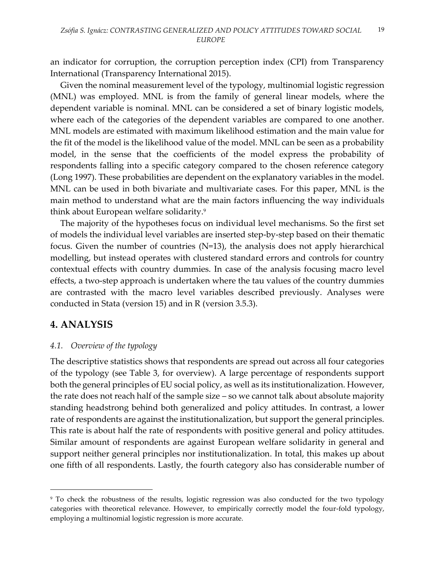an indicator for corruption, the corruption perception index (CPI) from Transparency International (Transparency International 2015).

Given the nominal measurement level of the typology, multinomial logistic regression (MNL) was employed. MNL is from the family of general linear models, where the dependent variable is nominal. MNL can be considered a set of binary logistic models, where each of the categories of the dependent variables are compared to one another. MNL models are estimated with maximum likelihood estimation and the main value for the fit of the model is the likelihood value of the model. MNL can be seen as a probability model, in the sense that the coefficients of the model express the probability of respondents falling into a specific category compared to the chosen reference category (Long 1997). These probabilities are dependent on the explanatory variables in the model. MNL can be used in both bivariate and multivariate cases. For this paper, MNL is the main method to understand what are the main factors influencing the way individuals think about European welfare solidarity.<sup>9</sup>

The majority of the hypotheses focus on individual level mechanisms. So the first set of models the individual level variables are inserted step-by-step based on their thematic focus. Given the number of countries (N=13), the analysis does not apply hierarchical modelling, but instead operates with clustered standard errors and controls for country contextual effects with country dummies. In case of the analysis focusing macro level effects, a two-step approach is undertaken where the tau values of the country dummies are contrasted with the macro level variables described previously. Analyses were conducted in Stata (version 15) and in R (version 3.5.3).

# **4. ANALYSIS**

 $\overline{a}$ 

#### *4.1. Overview of the typology*

The descriptive statistics shows that respondents are spread out across all four categories of the typology (see Table 3, for overview). A large percentage of respondents support both the general principles of EU social policy, as well as its institutionalization. However, the rate does not reach half of the sample size – so we cannot talk about absolute majority standing headstrong behind both generalized and policy attitudes. In contrast, a lower rate of respondents are against the institutionalization, but support the general principles. This rate is about half the rate of respondents with positive general and policy attitudes. Similar amount of respondents are against European welfare solidarity in general and support neither general principles nor institutionalization. In total, this makes up about one fifth of all respondents. Lastly, the fourth category also has considerable number of

<sup>9</sup> To check the robustness of the results, logistic regression was also conducted for the two typology categories with theoretical relevance. However, to empirically correctly model the four-fold typology, employing a multinomial logistic regression is more accurate.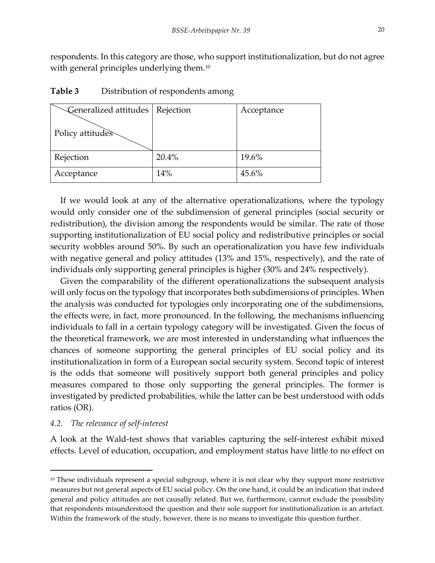respondents. In this category are those, who support institutionalization, but do not agree with general principles underlying them.<sup>10</sup>

| Generalized attitudes   Rejection |       | Acceptance |
|-----------------------------------|-------|------------|
| Policy attitudes                  |       |            |
| Rejection                         | 20.4% | 19.6%      |
| Acceptance                        | 14%   | 45.6%      |

If we would look at any of the alternative operationalizations, where the typology would only consider one of the subdimension of general principles (social security or redistribution), the division among the respondents would be similar. The rate of those supporting institutionalization of EU social policy and redistributive principles or social security wobbles around 50%. By such an operationalization you have few individuals with negative general and policy attitudes (13% and 15%, respectively), and the rate of individuals only supporting general principles is higher (30% and 24% respectively).

Given the comparability of the different operationalizations the subsequent analysis will only focus on the typology that incorporates both subdimensions of principles. When the analysis was conducted for typologies only incorporating one of the subdimensions, the effects were, in fact, more pronounced. In the following, the mechanisms influencing individuals to fall in a certain typology category will be investigated. Given the focus of the theoretical framework, we are most interested in understanding what influences the chances of someone supporting the general principles of EU social policy and its institutionalization in form of a European social security system. Second topic of interest is the odds that someone will positively support both general principles and policy measures compared to those only supporting the general principles. The former is investigated by predicted probabilities, while the latter can be best understood with odds ratios (OR).

#### *4.2. The relevance of self-interest*

 $\overline{a}$ 

A look at the Wald-test shows that variables capturing the self-interest exhibit mixed effects. Level of education, occupation, and employment status have little to no effect on

 $10$  These individuals represent a special subgroup, where it is not clear why they support more restrictive measures but not general aspects of EU social policy. On the one hand, it could be an indication that indeed general and policy attitudes are not causally related. But we, furthermore, cannot exclude the possibility that respondents misunderstood the question and their sole support for institutionalization is an artefact. Within the framework of the study, however, there is no means to investigate this question further.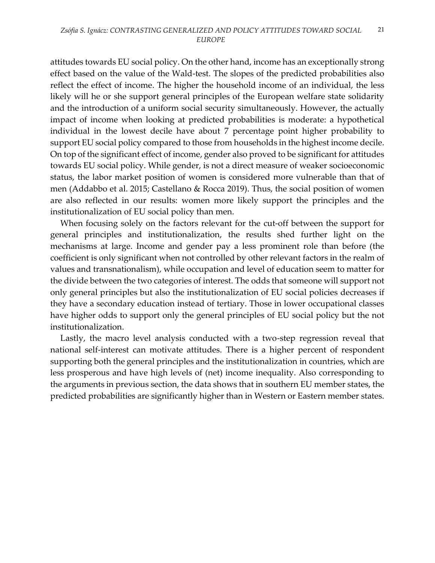attitudes towards EU social policy. On the other hand, income has an exceptionally strong effect based on the value of the Wald-test. The slopes of the predicted probabilities also reflect the effect of income. The higher the household income of an individual, the less likely will he or she support general principles of the European welfare state solidarity and the introduction of a uniform social security simultaneously. However, the actually impact of income when looking at predicted probabilities is moderate: a hypothetical individual in the lowest decile have about 7 percentage point higher probability to support EU social policy compared to those from households in the highest income decile. On top of the significant effect of income, gender also proved to be significant for attitudes towards EU social policy. While gender, is not a direct measure of weaker socioeconomic status, the labor market position of women is considered more vulnerable than that of men (Addabbo et al. 2015; Castellano & Rocca 2019). Thus, the social position of women are also reflected in our results: women more likely support the principles and the institutionalization of EU social policy than men.

When focusing solely on the factors relevant for the cut-off between the support for general principles and institutionalization, the results shed further light on the mechanisms at large. Income and gender pay a less prominent role than before (the coefficient is only significant when not controlled by other relevant factors in the realm of values and transnationalism), while occupation and level of education seem to matter for the divide between the two categories of interest. The odds that someone will support not only general principles but also the institutionalization of EU social policies decreases if they have a secondary education instead of tertiary. Those in lower occupational classes have higher odds to support only the general principles of EU social policy but the not institutionalization.

Lastly, the macro level analysis conducted with a two-step regression reveal that national self-interest can motivate attitudes. There is a higher percent of respondent supporting both the general principles and the institutionalization in countries, which are less prosperous and have high levels of (net) income inequality. Also corresponding to the arguments in previous section, the data shows that in southern EU member states, the predicted probabilities are significantly higher than in Western or Eastern member states.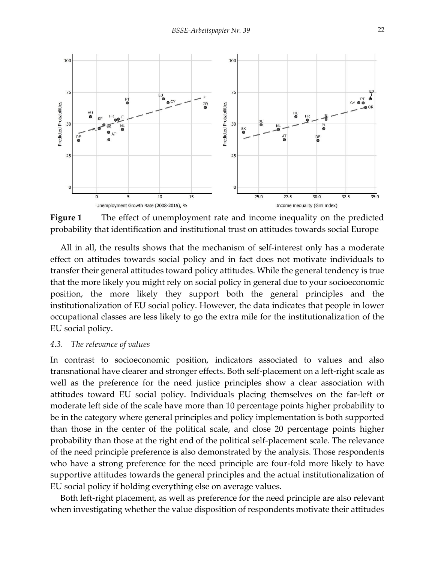

**Figure 1** The effect of unemployment rate and income inequality on the predicted probability that identification and institutional trust on attitudes towards social Europe

All in all, the results shows that the mechanism of self-interest only has a moderate effect on attitudes towards social policy and in fact does not motivate individuals to transfer their general attitudes toward policy attitudes. While the general tendency is true that the more likely you might rely on social policy in general due to your socioeconomic position, the more likely they support both the general principles and the institutionalization of EU social policy. However, the data indicates that people in lower occupational classes are less likely to go the extra mile for the institutionalization of the EU social policy.

#### *4.3. The relevance of values*

In contrast to socioeconomic position, indicators associated to values and also transnational have clearer and stronger effects. Both self-placement on a left-right scale as well as the preference for the need justice principles show a clear association with attitudes toward EU social policy. Individuals placing themselves on the far-left or moderate left side of the scale have more than 10 percentage points higher probability to be in the category where general principles and policy implementation is both supported than those in the center of the political scale, and close 20 percentage points higher probability than those at the right end of the political self-placement scale. The relevance of the need principle preference is also demonstrated by the analysis. Those respondents who have a strong preference for the need principle are four-fold more likely to have supportive attitudes towards the general principles and the actual institutionalization of EU social policy if holding everything else on average values.

Both left-right placement, as well as preference for the need principle are also relevant when investigating whether the value disposition of respondents motivate their attitudes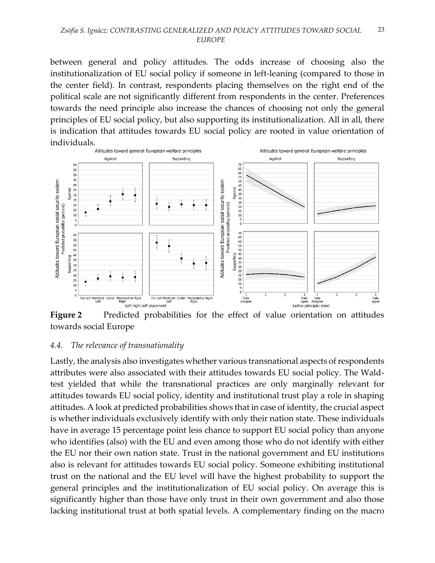between general and policy attitudes. The odds increase of choosing also the institutionalization of EU social policy if someone in left-leaning (compared to those in the center field). In contrast, respondents placing themselves on the right end of the political scale are not significantly different from respondents in the center. Preferences towards the need principle also increase the chances of choosing not only the general principles of EU social policy, but also supporting its institutionalization. All in all, there is indication that attitudes towards EU social policy are rooted in value orientation of



**Figure 2** Predicted probabilities for the effect of value orientation on attitudes towards social Europe

# *4.4. The relevance of transnationality*

Lastly, the analysis also investigates whether various transnational aspects of respondents attributes were also associated with their attitudes towards EU social policy. The Waldtest yielded that while the transnational practices are only marginally relevant for attitudes towards EU social policy, identity and institutional trust play a role in shaping attitudes. A look at predicted probabilities shows that in case of identity, the crucial aspect is whether individuals exclusively identify with only their nation state. These individuals have in average 15 percentage point less chance to support EU social policy than anyone who identifies (also) with the EU and even among those who do not identify with either the EU nor their own nation state. Trust in the national government and EU institutions also is relevant for attitudes towards EU social policy. Someone exhibiting institutional trust on the national and the EU level will have the highest probability to support the general principles and the institutionalization of EU social policy. On average this is significantly higher than those have only trust in their own government and also those lacking institutional trust at both spatial levels. A complementary finding on the macro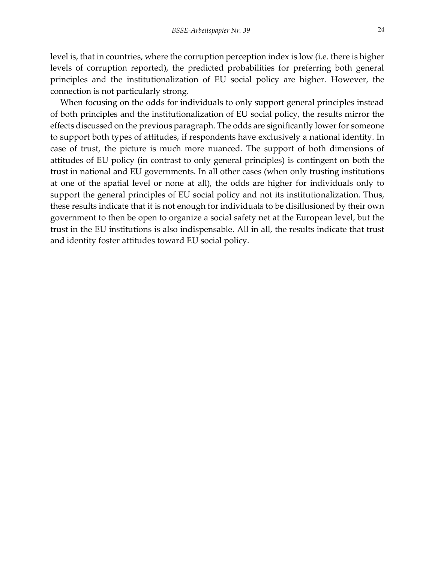level is, that in countries, where the corruption perception index is low (i.e. there is higher levels of corruption reported), the predicted probabilities for preferring both general principles and the institutionalization of EU social policy are higher. However, the connection is not particularly strong.

When focusing on the odds for individuals to only support general principles instead of both principles and the institutionalization of EU social policy, the results mirror the effects discussed on the previous paragraph. The odds are significantly lower for someone to support both types of attitudes, if respondents have exclusively a national identity. In case of trust, the picture is much more nuanced. The support of both dimensions of attitudes of EU policy (in contrast to only general principles) is contingent on both the trust in national and EU governments. In all other cases (when only trusting institutions at one of the spatial level or none at all), the odds are higher for individuals only to support the general principles of EU social policy and not its institutionalization. Thus, these results indicate that it is not enough for individuals to be disillusioned by their own government to then be open to organize a social safety net at the European level, but the trust in the EU institutions is also indispensable. All in all, the results indicate that trust and identity foster attitudes toward EU social policy.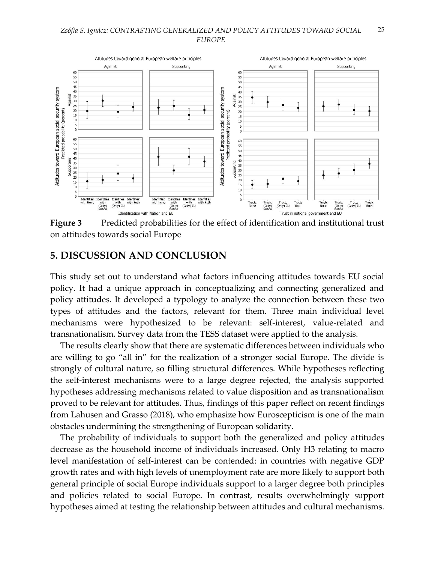#### *Zsófia S. Ignácz: CONTRASTING GENERALIZED AND POLICY ATTITUDES TOWARD SOCIAL EUROPE* 25



**Figure 3** Predicted probabilities for the effect of identification and institutional trust on attitudes towards social Europe

### **5. DISCUSSION AND CONCLUSION**

This study set out to understand what factors influencing attitudes towards EU social policy. It had a unique approach in conceptualizing and connecting generalized and policy attitudes. It developed a typology to analyze the connection between these two types of attitudes and the factors, relevant for them. Three main individual level mechanisms were hypothesized to be relevant: self-interest, value-related and transnationalism. Survey data from the TESS dataset were applied to the analysis.

The results clearly show that there are systematic differences between individuals who are willing to go "all in" for the realization of a stronger social Europe. The divide is strongly of cultural nature, so filling structural differences. While hypotheses reflecting the self-interest mechanisms were to a large degree rejected, the analysis supported hypotheses addressing mechanisms related to value disposition and as transnationalism proved to be relevant for attitudes. Thus, findings of this paper reflect on recent findings from Lahusen and Grasso (2018), who emphasize how Euroscepticism is one of the main obstacles undermining the strengthening of European solidarity.

The probability of individuals to support both the generalized and policy attitudes decrease as the household income of individuals increased. Only H3 relating to macro level manifestation of self-interest can be contended: in countries with negative GDP growth rates and with high levels of unemployment rate are more likely to support both general principle of social Europe individuals support to a larger degree both principles and policies related to social Europe. In contrast, results overwhelmingly support hypotheses aimed at testing the relationship between attitudes and cultural mechanisms.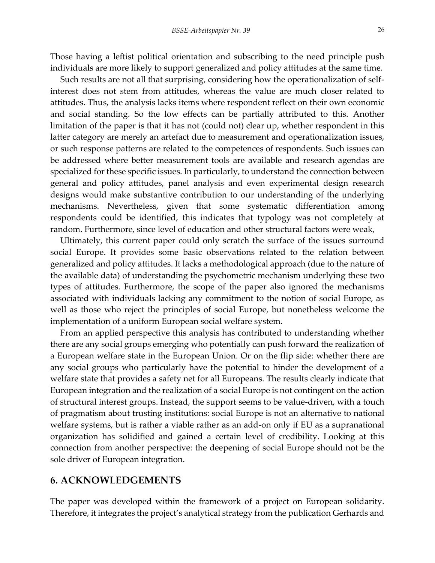Those having a leftist political orientation and subscribing to the need principle push individuals are more likely to support generalized and policy attitudes at the same time.

Such results are not all that surprising, considering how the operationalization of selfinterest does not stem from attitudes, whereas the value are much closer related to attitudes. Thus, the analysis lacks items where respondent reflect on their own economic and social standing. So the low effects can be partially attributed to this. Another limitation of the paper is that it has not (could not) clear up, whether respondent in this latter category are merely an artefact due to measurement and operationalization issues, or such response patterns are related to the competences of respondents. Such issues can be addressed where better measurement tools are available and research agendas are specialized for these specific issues. In particularly, to understand the connection between general and policy attitudes, panel analysis and even experimental design research designs would make substantive contribution to our understanding of the underlying mechanisms. Nevertheless, given that some systematic differentiation among respondents could be identified, this indicates that typology was not completely at random. Furthermore, since level of education and other structural factors were weak,

Ultimately, this current paper could only scratch the surface of the issues surround social Europe. It provides some basic observations related to the relation between generalized and policy attitudes. It lacks a methodological approach (due to the nature of the available data) of understanding the psychometric mechanism underlying these two types of attitudes. Furthermore, the scope of the paper also ignored the mechanisms associated with individuals lacking any commitment to the notion of social Europe, as well as those who reject the principles of social Europe, but nonetheless welcome the implementation of a uniform European social welfare system.

From an applied perspective this analysis has contributed to understanding whether there are any social groups emerging who potentially can push forward the realization of a European welfare state in the European Union. Or on the flip side: whether there are any social groups who particularly have the potential to hinder the development of a welfare state that provides a safety net for all Europeans. The results clearly indicate that European integration and the realization of a social Europe is not contingent on the action of structural interest groups. Instead, the support seems to be value-driven, with a touch of pragmatism about trusting institutions: social Europe is not an alternative to national welfare systems, but is rather a viable rather as an add-on only if EU as a supranational organization has solidified and gained a certain level of credibility. Looking at this connection from another perspective: the deepening of social Europe should not be the sole driver of European integration.

### **6. ACKNOWLEDGEMENTS**

The paper was developed within the framework of a project on European solidarity. Therefore, it integrates the project's analytical strategy from the publication Gerhards and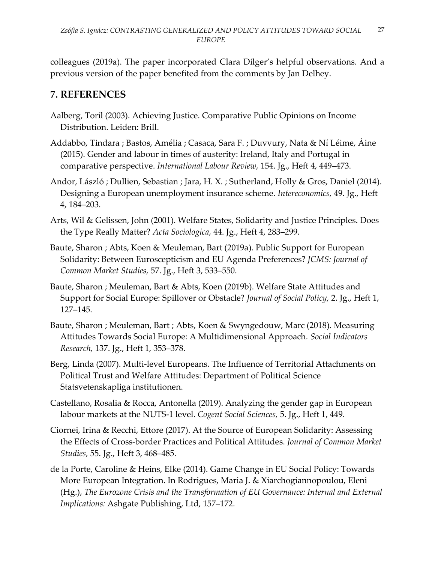colleagues (2019a). The paper incorporated Clara Dilger's helpful observations. And a previous version of the paper benefited from the comments by Jan Delhey.

# **7. REFERENCES**

- Aalberg, Toril (2003). Achieving Justice. Comparative Public Opinions on Income Distribution. Leiden: Brill.
- Addabbo, Tindara ; Bastos, Amélia ; Casaca, Sara F. ; Duvvury, Nata & Ní Léime, Áine (2015). Gender and labour in times of austerity: Ireland, Italy and Portugal in comparative perspective. *International Labour Review,* 154. Jg., Heft 4, 449–473.
- Andor, László ; Dullien, Sebastian ; Jara, H. X. ; Sutherland, Holly & Gros, Daniel (2014). Designing a European unemployment insurance scheme. *Intereconomics,* 49. Jg., Heft 4, 184–203.
- Arts, Wil & Gelissen, John (2001). Welfare States, Solidarity and Justice Principles. Does the Type Really Matter? *Acta Sociologica,* 44. Jg., Heft 4, 283–299.
- Baute, Sharon ; Abts, Koen & Meuleman, Bart (2019a). Public Support for European Solidarity: Between Euroscepticism and EU Agenda Preferences? *JCMS: Journal of Common Market Studies,* 57. Jg., Heft 3, 533–550.
- Baute, Sharon ; Meuleman, Bart & Abts, Koen (2019b). Welfare State Attitudes and Support for Social Europe: Spillover or Obstacle? *Journal of Social Policy,* 2. Jg., Heft 1, 127–145.
- Baute, Sharon ; Meuleman, Bart ; Abts, Koen & Swyngedouw, Marc (2018). Measuring Attitudes Towards Social Europe: A Multidimensional Approach. *Social Indicators Research,* 137. Jg., Heft 1, 353–378.
- Berg, Linda (2007). Multi-level Europeans. The Influence of Territorial Attachments on Political Trust and Welfare Attitudes: Department of Political Science Statsvetenskapliga institutionen.
- Castellano, Rosalia & Rocca, Antonella (2019). Analyzing the gender gap in European labour markets at the NUTS-1 level. *Cogent Social Sciences,* 5. Jg., Heft 1, 449.
- Ciornei, Irina & Recchi, Ettore (2017). At the Source of European Solidarity: Assessing the Effects of Cross-border Practices and Political Attitudes. *Journal of Common Market Studies,* 55. Jg., Heft 3, 468–485.
- de la Porte, Caroline & Heins, Elke (2014). Game Change in EU Social Policy: Towards More European Integration. In Rodrigues, Maria J. & Xiarchogiannopoulou, Eleni (Hg.), *The Eurozone Crisis and the Transformation of EU Governance: Internal and External Implications:* Ashgate Publishing, Ltd, 157–172.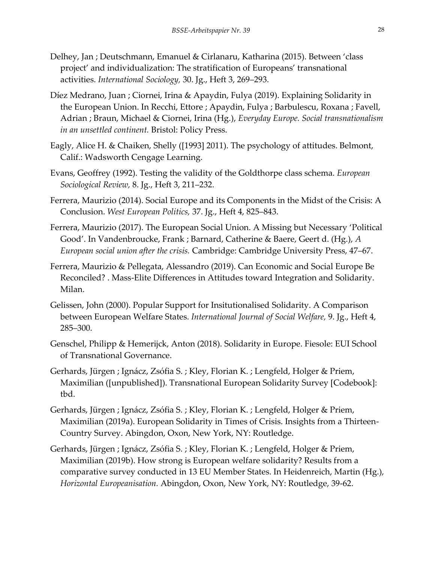- Delhey, Jan ; Deutschmann, Emanuel & Cirlanaru, Katharina (2015). Between 'class project' and individualization: The stratification of Europeans' transnational activities. *International Sociology,* 30. Jg., Heft 3, 269–293.
- Díez Medrano, Juan ; Ciornei, Irina & Apaydin, Fulya (2019). Explaining Solidarity in the European Union. In Recchi, Ettore ; Apaydin, Fulya ; Barbulescu, Roxana ; Favell, Adrian ; Braun, Michael & Ciornei, Irina (Hg.), *Everyday Europe. Social transnationalism in an unsettled continent.* Bristol: Policy Press.
- Eagly, Alice H. & Chaiken, Shelly ([1993] 2011). The psychology of attitudes. Belmont, Calif.: Wadsworth Cengage Learning.
- Evans, Geoffrey (1992). Testing the validity of the Goldthorpe class schema. *European Sociological Review,* 8. Jg., Heft 3, 211–232.
- Ferrera, Maurizio (2014). Social Europe and its Components in the Midst of the Crisis: A Conclusion. *West European Politics,* 37. Jg., Heft 4, 825–843.
- Ferrera, Maurizio (2017). The European Social Union. A Missing but Necessary 'Political Good'. In Vandenbroucke, Frank ; Barnard, Catherine & Baere, Geert d. (Hg.), *A European social union after the crisis.* Cambridge: Cambridge University Press, 47–67.
- Ferrera, Maurizio & Pellegata, Alessandro (2019). Can Economic and Social Europe Be Reconciled? . Mass-Elite Differences in Attitudes toward Integration and Solidarity. Milan.
- Gelissen, John (2000). Popular Support for Insitutionalised Solidarity. A Comparison between European Welfare States. *International Journal of Social Welfare,* 9. Jg., Heft 4, 285–300.
- Genschel, Philipp & Hemerijck, Anton (2018). Solidarity in Europe. Fiesole: EUI School of Transnational Governance.
- Gerhards, Jürgen ; Ignácz, Zsófia S. ; Kley, Florian K. ; Lengfeld, Holger & Priem, Maximilian ([unpublished]). Transnational European Solidarity Survey [Codebook]: tbd.
- Gerhards, Jürgen ; Ignácz, Zsófia S. ; Kley, Florian K. ; Lengfeld, Holger & Priem, Maximilian (2019a). European Solidarity in Times of Crisis. Insights from a Thirteen-Country Survey. Abingdon, Oxon, New York, NY: Routledge.
- Gerhards, Jürgen ; Ignácz, Zsófia S. ; Kley, Florian K. ; Lengfeld, Holger & Priem, Maximilian (2019b). How strong is European welfare solidarity? Results from a comparative survey conducted in 13 EU Member States. In Heidenreich, Martin (Hg.), *Horizontal Europeanisation.* Abingdon, Oxon, New York, NY: Routledge, 39-62.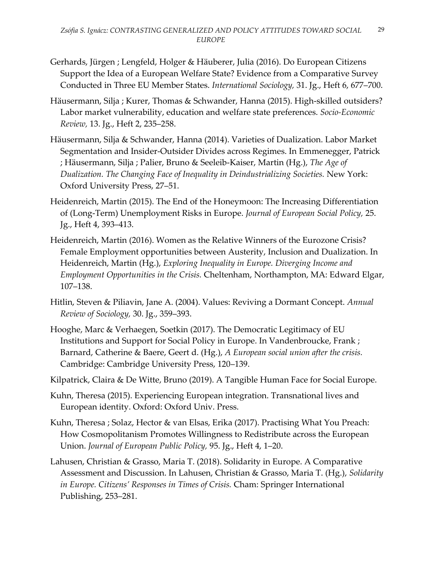- Gerhards, Jürgen ; Lengfeld, Holger & Häuberer, Julia (2016). Do European Citizens Support the Idea of a European Welfare State? Evidence from a Comparative Survey Conducted in Three EU Member States. *International Sociology,* 31. Jg., Heft 6, 677–700.
- Häusermann, Silja ; Kurer, Thomas & Schwander, Hanna (2015). High-skilled outsiders? Labor market vulnerability, education and welfare state preferences. *Socio-Economic Review,* 13. Jg., Heft 2, 235–258.
- Häusermann, Silja & Schwander, Hanna (2014). Varieties of Dualization. Labor Market Segmentation and Insider-Outsider Divides across Regimes. In Emmenegger, Patrick ; Häusermann, Silja ; Palier, Bruno & Seeleib-Kaiser, Martin (Hg.), *The Age of Dualization. The Changing Face of Inequality in Deindustrializing Societies.* New York: Oxford University Press, 27–51.
- Heidenreich, Martin (2015). The End of the Honeymoon: The Increasing Differentiation of (Long-Term) Unemployment Risks in Europe. *Journal of European Social Policy,* 25. Jg., Heft 4, 393–413.
- Heidenreich, Martin (2016). Women as the Relative Winners of the Eurozone Crisis? Female Employment opportunities between Austerity, Inclusion and Dualization. In Heidenreich, Martin (Hg.), *Exploring Inequality in Europe. Diverging Income and Employment Opportunities in the Crisis.* Cheltenham, Northampton, MA: Edward Elgar, 107–138.
- Hitlin, Steven & Piliavin, Jane A. (2004). Values: Reviving a Dormant Concept. *Annual Review of Sociology,* 30. Jg., 359–393.
- Hooghe, Marc & Verhaegen, Soetkin (2017). The Democratic Legitimacy of EU Institutions and Support for Social Policy in Europe. In Vandenbroucke, Frank ; Barnard, Catherine & Baere, Geert d. (Hg.), *A European social union after the crisis.*  Cambridge: Cambridge University Press, 120–139.
- Kilpatrick, Claira & De Witte, Bruno (2019). A Tangible Human Face for Social Europe.
- Kuhn, Theresa (2015). Experiencing European integration. Transnational lives and European identity. Oxford: Oxford Univ. Press.
- Kuhn, Theresa ; Solaz, Hector & van Elsas, Erika (2017). Practising What You Preach: How Cosmopolitanism Promotes Willingness to Redistribute across the European Union. *Journal of European Public Policy,* 95. Jg., Heft 4, 1–20.
- Lahusen, Christian & Grasso, Maria T. (2018). Solidarity in Europe. A Comparative Assessment and Discussion. In Lahusen, Christian & Grasso, Maria T. (Hg.), *Solidarity in Europe. Citizens' Responses in Times of Crisis.* Cham: Springer International Publishing, 253–281.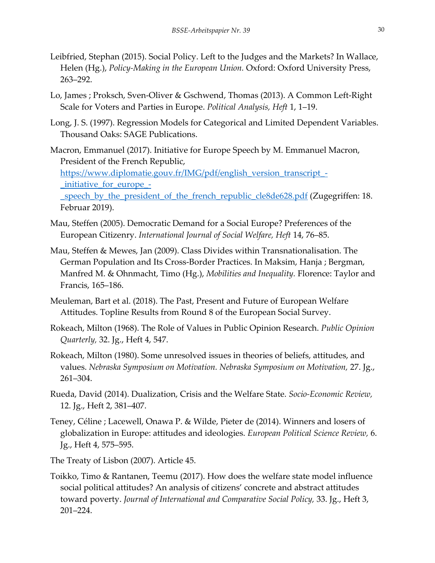- Leibfried, Stephan (2015). Social Policy. Left to the Judges and the Markets? In Wallace, Helen (Hg.), *Policy-Making in the European Union.* Oxford: Oxford University Press, 263–292.
- Lo, James ; Proksch, Sven-Oliver & Gschwend, Thomas (2013). A Common Left-Right Scale for Voters and Parties in Europe. *Political Analysis, Heft* 1, 1–19.
- Long, J. S. (1997). Regression Models for Categorical and Limited Dependent Variables. Thousand Oaks: SAGE Publications.
- Macron, Emmanuel (2017). Initiative for Europe Speech by M. Emmanuel Macron, President of the French Republic,

[https://www.diplomatie.gouv.fr/IMG/pdf/english\\_version\\_transcript\\_-](https://www.diplomatie.gouv.fr/IMG/pdf/english_version_transcript_-_initiative_for_europe_-_speech_by_the_president_of_the_french_republic_cle8de628.pdf) [\\_initiative\\_for\\_europe\\_-](https://www.diplomatie.gouv.fr/IMG/pdf/english_version_transcript_-_initiative_for_europe_-_speech_by_the_president_of_the_french_republic_cle8de628.pdf)

speech by the president of the french republic cle8de628.pdf (Zugegriffen: 18. Februar 2019).

- Mau, Steffen (2005). Democratic Demand for a Social Europe? Preferences of the European Citizenry. *International Journal of Social Welfare, Heft* 14, 76–85.
- Mau, Steffen & Mewes, Jan (2009). Class Divides within Transnationalisation. The German Population and Its Cross-Border Practices. In Maksim, Hanja ; Bergman, Manfred M. & Ohnmacht, Timo (Hg.), *Mobilities and Inequality.* Florence: Taylor and Francis, 165–186.
- Meuleman, Bart et al. (2018). The Past, Present and Future of European Welfare Attitudes. Topline Results from Round 8 of the European Social Survey.
- Rokeach, Milton (1968). The Role of Values in Public Opinion Research. *Public Opinion Quarterly,* 32. Jg., Heft 4, 547.
- Rokeach, Milton (1980). Some unresolved issues in theories of beliefs, attitudes, and values. *Nebraska Symposium on Motivation. Nebraska Symposium on Motivation,* 27. Jg., 261–304.
- Rueda, David (2014). Dualization, Crisis and the Welfare State. *Socio-Economic Review,*  12. Jg., Heft 2, 381–407.
- Teney, Céline ; Lacewell, Onawa P. & Wilde, Pieter de (2014). Winners and losers of globalization in Europe: attitudes and ideologies. *European Political Science Review,* 6. Jg., Heft 4, 575–595.

The Treaty of Lisbon (2007). Article 45.

Toikko, Timo & Rantanen, Teemu (2017). How does the welfare state model influence social political attitudes? An analysis of citizens' concrete and abstract attitudes toward poverty. *Journal of International and Comparative Social Policy,* 33. Jg., Heft 3, 201–224.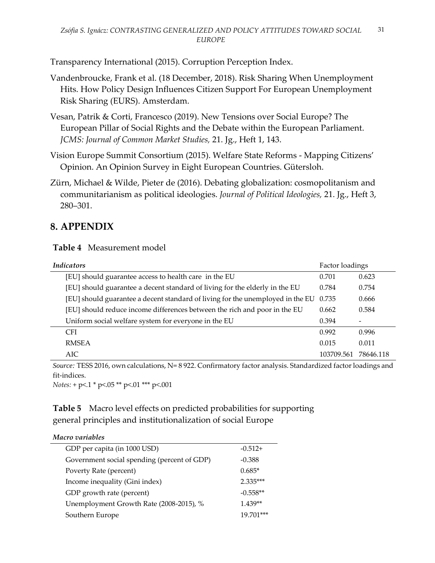Transparency International (2015). Corruption Perception Index.

- Vandenbroucke, Frank et al. (18 December, 2018). Risk Sharing When Unemployment Hits. How Policy Design Influences Citizen Support For European Unemployment Risk Sharing (EURS). Amsterdam.
- Vesan, Patrik & Corti, Francesco (2019). New Tensions over Social Europe? The European Pillar of Social Rights and the Debate within the European Parliament. *JCMS: Journal of Common Market Studies,* 21. Jg., Heft 1, 143.
- Vision Europe Summit Consortium (2015). Welfare State Reforms Mapping Citizens' Opinion. An Opinion Survey in Eight European Countries. Gütersloh.
- Zürn, Michael & Wilde, Pieter de (2016). Debating globalization: cosmopolitanism and communitarianism as political ideologies. *Journal of Political Ideologies,* 21. Jg., Heft 3, 280–301.

# **8. APPENDIX**

| <i>Indicators</i>                                                              | Factor loadings |           |
|--------------------------------------------------------------------------------|-----------------|-----------|
| [EU] should guarantee access to health care in the EU                          | 0.701           | 0.623     |
| [EU] should guarantee a decent standard of living for the elderly in the EU    | 0.784           | 0.754     |
| [EU] should guarantee a decent standard of living for the unemployed in the EU | 0.735           | 0.666     |
| [EU] should reduce income differences between the rich and poor in the EU      | 0.662           | 0.584     |
| Uniform social welfare system for everyone in the EU                           | 0.394           |           |
| <b>CFI</b>                                                                     | 0.992           | 0.996     |
| <b>RMSEA</b>                                                                   | 0.015           | 0.011     |
| AIC                                                                            | 103709.561      | 78646.118 |

*Source:* TESS 2016, own calculations, N= 8 922. Confirmatory factor analysis. Standardized factor loadings and fit-indices.

*Notes:* + p<.1 \* p<.05 \*\* p<.01 \*\*\* p<.001

# **Table 5** Macro level effects on predicted probabilities for supporting general principles and institutionalization of social Europe

| Macro variables                             |            |
|---------------------------------------------|------------|
| GDP per capita (in 1000 USD)                | $-0.512+$  |
| Government social spending (percent of GDP) | $-0.388$   |
| Poverty Rate (percent)                      | $0.685*$   |
| Income inequality (Gini index)              | $2.335***$ |
| GDP growth rate (percent)                   | $-0.558**$ |
| Unemployment Growth Rate (2008-2015), %     | $1.439**$  |
| Southern Europe                             | 19.701***  |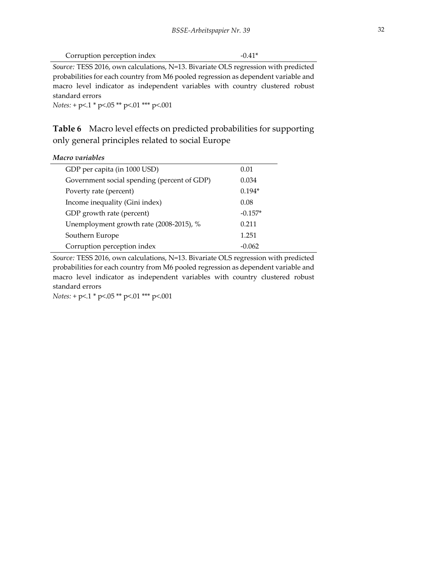| Corruption perception index                                                        | $-0.41*$ |
|------------------------------------------------------------------------------------|----------|
| Source: TESS 2016, own calculations, N=13. Bivariate OLS regression with predicted |          |
| probabilities for each country from M6 peolod regression as dependent variable and |          |

probabilities for each country from M6 pooled regression as dependent variable and macro level indicator as independent variables with country clustered robust standard errors

*Notes:* + p<.1 \* p<.05 \*\* p<.01 \*\*\* p<.001

**Table 6** Macro level effects on predicted probabilities for supporting only general principles related to social Europe

| Macro variables                             |           |
|---------------------------------------------|-----------|
| GDP per capita (in 1000 USD)                | 0.01      |
| Government social spending (percent of GDP) | 0.034     |
| Poverty rate (percent)                      | $0.194*$  |
| Income inequality (Gini index)              | 0.08      |
| GDP growth rate (percent)                   | $-0.157*$ |
| Unemployment growth rate (2008-2015), %     | 0.211     |
| Southern Europe                             | 1.251     |
| Corruption perception index                 | -0.062    |

*Source:* TESS 2016, own calculations, N=13. Bivariate OLS regression with predicted probabilities for each country from M6 pooled regression as dependent variable and macro level indicator as independent variables with country clustered robust standard errors

*Notes:* + p<.1 \* p<.05 \*\* p<.01 \*\*\* p<.001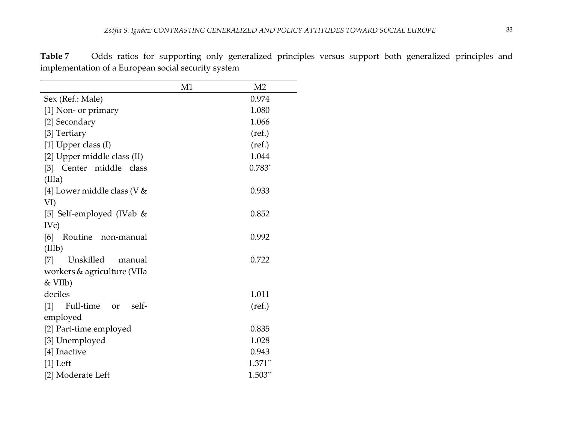**Table 7** Odds ratios for supporting only generalized principles versus support both generalized principles and implementation of a European social security system

|                                   | M1 | M <sub>2</sub> |
|-----------------------------------|----|----------------|
| Sex (Ref.: Male)                  |    | 0.974          |
| [1] Non- or primary               |    | 1.080          |
| [2] Secondary                     |    | 1.066          |
| [3] Tertiary                      |    | (ref.)         |
| [1] Upper class $(I)$             |    | (ref.)         |
| [2] Upper middle class (II)       |    | 1.044          |
| [3] Center middle<br>class        |    | $0.783*$       |
| (IIIa)                            |    |                |
| [4] Lower middle class (V $\&$    |    | 0.933          |
| VI)                               |    |                |
| [5] Self-employed (IVab &         |    | 0.852          |
| IVc)                              |    |                |
| [6]<br>Routine non-manual         |    | 0.992          |
| (IIIb)                            |    |                |
| Unskilled<br>[7]<br>manual        |    | 0.722          |
| workers & agriculture (VIIa       |    |                |
| $&$ VIIb)                         |    |                |
| deciles                           |    | 1.011          |
| self-<br>Full-time<br>$[1]$<br>or |    | (ref.)         |
| employed                          |    |                |
| [2] Part-time employed            |    | 0.835          |
| [3] Unemployed                    |    | 1.028          |
| [4] Inactive                      |    | 0.943          |
| $[1]$ Left                        |    | $1.371**$      |
| [2] Moderate Left                 |    | $1.503**$      |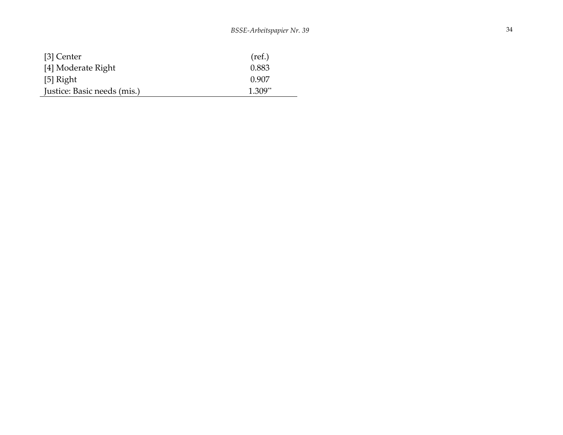$\overline{\phantom{0}}$ 

| [3] Center                  | (ref.)    |
|-----------------------------|-----------|
| [4] Moderate Right          | 0.883     |
| [5] Right                   | 0.907     |
| Justice: Basic needs (mis.) | $1.309**$ |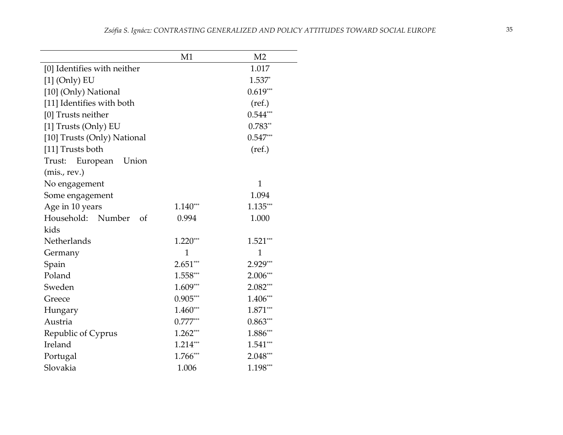|                             | M1           | M <sub>2</sub> |
|-----------------------------|--------------|----------------|
| [0] Identifies with neither |              | 1.017          |
| $[1]$ (Only) EU             |              | 1.537*         |
| [10] (Only) National        |              | $0.619***$     |
| [11] Identifies with both   |              | (ref.)         |
| [0] Trusts neither          |              | $0.544***$     |
| [1] Trusts (Only) EU        |              | $0.783**$      |
| [10] Trusts (Only) National |              | $0.547***$     |
| [11] Trusts both            |              | (ref.)         |
| European<br>Trust:<br>Union |              |                |
| (mis., rev.)                |              |                |
| No engagement               |              | $\mathbf{1}$   |
| Some engagement             |              | 1.094          |
| Age in 10 years             | $1.140***$   | 1.135***       |
| Household: Number<br>Οf     | 0.994        | 1.000          |
| kids                        |              |                |
| Netherlands                 | $1.220***$   | $1.521***$     |
| Germany                     | $\mathbf{1}$ | $\mathbf{1}$   |
| Spain                       | $2.651***$   | 2.929***       |
| Poland                      | 1.558***     | 2.006***       |
| Sweden                      | $1.609***$   | 2.082***       |
| Greece                      | $0.905***$   | 1.406***       |
| Hungary                     | $1.460***$   | $1.871***$     |
| Austria                     | $0.777***$   | $0.863***$     |
| Republic of Cyprus          | $1.262***$   | 1.886***       |
| Ireland                     | $1.214***$   | $1.541***$     |
| Portugal                    | 1.766***     | 2.048***       |
| Slovakia                    | 1.006        | 1.198***       |